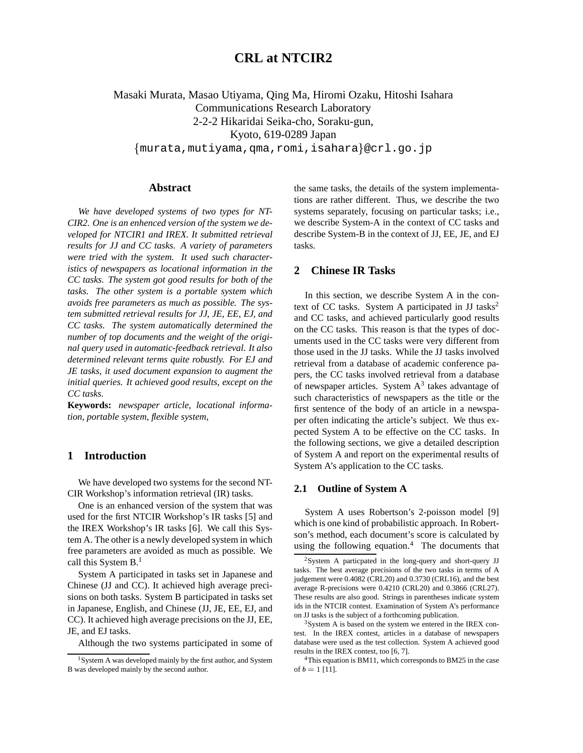# **CRL at NTCIR2**

Masaki Murata, Masao Utiyama, Qing Ma, Hiromi Ozaku, Hitoshi Isahara Communications Research Laboratory 2-2-2 Hikaridai Seika-cho, Soraku-gun, Kyoto, 619-0289 Japan  $\{\hspace{-4mm}\rule{0mm}{1.5mm}\hspace{-4mm}\}$ mutiyama, $\hspace{-4mm}\rule{0mm}{1.5mm}\hspace{-4mm}\}$ nomi,isahara $\}$ @crl.go.jp

# **Abstract**

*We have developed systems of two types for NT-CIR2. One is an enhenced version of the system we developed for NTCIR1 and IREX. It submitted retrieval results for JJ and CC tasks. A variety of parameters were tried with the system. It used such characteristics of newspapers as locational information in the CC tasks. The system got good results for both of the tasks. The other system is a portable system which avoids free parameters as much as possible. The system submitted retrieval results for JJ, JE, EE, EJ, and CC tasks. The system automatically determined the number of top documents and the weight of the original query used in automatic-feedback retrieval. It also determined relevant terms quite robustly. For EJ and JE tasks, it used document expansion to augment the initial queries. It achieved good results, except on the CC tasks.*

**Keywords:** *newspaper article, locational information, portable system, flexible system,*

# **1 Introduction**

We have developed two systems for the second NT-CIR Workshop's information retrieval (IR) tasks.

One is an enhanced version of the system that was used for the first NTCIR Workshop's IR tasks [5] and the IREX Workshop's IR tasks [6]. We call this System A. The other is a newly developed system in which free parameters are avoided as much as possible. We call this System B.<sup>1</sup>

System A participated in tasks set in Japanese and Chinese (JJ and CC). It achieved high average precisions on both tasks. System B participated in tasks set in Japanese, English, and Chinese (JJ, JE, EE, EJ, and CC). It achieved high average precisions on the JJ, EE, JE, and EJ tasks.

Although the two systems participated in some of

the same tasks, the details of the system implementations are rather different. Thus, we describe the two systems separately, focusing on particular tasks; i.e., we describe System-A in the context of CC tasks and describe System-B in the context of JJ, EE, JE, and EJ tasks.

# **2 Chinese IR Tasks**

In this section, we describe System A in the context of CC tasks. System A participated in JJ tasks<sup>2</sup> and CC tasks, and achieved particularly good results on the CC tasks. This reason is that the types of documents used in the CC tasks were very different from those used in the JJ tasks. While the JJ tasks involved retrieval from a database of academic conference papers, the CC tasks involved retrieval from a database of newspaper articles. System  $A<sup>3</sup>$  takes advantage of such characteristics of newspapers as the title or the first sentence of the body of an article in a newspaper often indicating the article's subject. We thus expected System A to be effective on the CC tasks. In the following sections, we give a detailed description of System A and report on the experimental results of System A's application to the CC tasks.

## **2.1 Outline of System A**

System A uses Robertson's 2-poisson model [9] which is one kind of probabilistic approach. In Robertson's method, each document's score is calculated by using the following equation. $4$  The documents that

<sup>1</sup>System A was developed mainly by the first author, and System B was developed mainly by the second author.

<sup>&</sup>lt;sup>2</sup>System A particpated in the long-query and short-query JJ tasks. The best average precisions of the two tasks in terms of A judgement were 0.4082 (CRL20) and 0.3730 (CRL16), and the best average R-precisions were 0.4210 (CRL20) and 0.3866 (CRL27). These results are also good. Strings in parentheses indicate system ids in the NTCIR contest. Examination of System A's performance on JJ tasks is the subject of a forthcoming publication.

<sup>3</sup>System A is based on the system we entered in the IREX contest. In the IREX contest, articles in a database of newspapers database were used as the test collection. System A achieved good results in the IREX contest, too [6, 7].

 $4$ This equation is BM11, which corresponds to BM25 in the case of  $b = 1$  [11].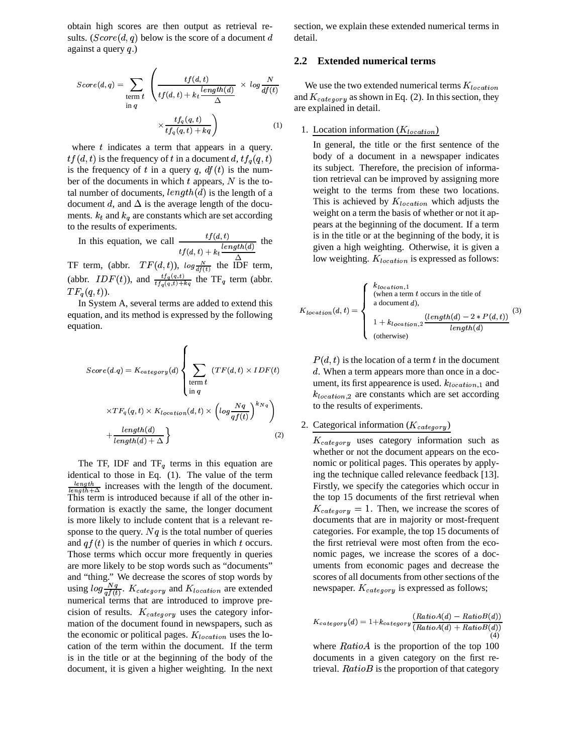obtain high scores are then output as retrieval results.  $(Score(d, q)$  below is the score of a document d detail against a query  $q$ .)

$$
Score(d, q) = \sum_{\substack{\text{term } t \\ \text{in } q}} \left( \frac{tf(d, t)}{tf(d, t) + k_t \frac{length(d)}{\Delta}} \times log \frac{N}{df(t)} \right) \times \frac{tf_q(q, t)}{tf_q(q, t) + kq} \right) \tag{1}
$$

where  $t$  indicates a term that appears in a query.  $tf(d,t)$  is the frequency of t in a document d,  $tf_q(q,t)$ is the frequency of t in a query q,  $df(t)$  is the number of the documents in which  $t$  appears,  $N$  is the total number of documents,  $length(d)$  is the length of a document d, and  $\Delta$  is the average length of the documents.  $k_t$  and  $k_q$  are constants which are set according to the results of experiments.

In this equation, we call  $\frac{tf(d,t)}{dx^{x}}$  $tf(d, t) + k_t \frac{length(d)}{d}$ the

TF term, (abbr.  $TF(d, t)$ ),  $log \frac{N}{df(t)}$  the IDF term, (abbr.  $IDF(t)$ ), and  $\frac{tf_q(q,t)}{tf_q(q,t)+ka}$  the TF<sub>q</sub> term (abbr.  $TF_q(q,t)$ ).

In System A, several terms are added to extend this equation, and its method is expressed by the following equation.

$$
Score(d,q) = K_{category}(d) \left\{ \sum_{\substack{\text{term } t}} (TF(d,t) \times IDF(t)) \times TF_q(q,t) \times K_{location}(d,t) \times \left(\log \frac{Nq}{qf(t)}\right)^{k_{Nq}} \right) + \frac{length(d)}{length(d) + \Delta} \right\}
$$
(2)

The TF, IDF and TF $_q$  terms in this equation are identical to those in Eq. (1). The value of the term  $\frac{length}{length + \Delta}$  increases with the length of the document. This term is introduced because if all of the other information is exactly the same, the longer document is more likely to include content that is a relevant response to the query.  $Nq$  is the total number of queries and  $qf(t)$  is the number of queries in which t occurs. Those terms which occur more frequently in queries are more likely to be stop words such as "documents" and "thing." We decrease the scores of stop words by using  $log \frac{Nq}{af(t)}$ .  $K_{category}$  and  $K_{location}$  are extended numerical terms that are introduced to improve precision of results.  $K_{category}$  uses the category information of the document found in newspapers, such as the economic or political pages.  $K_{location}$  uses the location of the term within the document. If the term is in the title or at the beginning of the body of the document, it is given a higher weighting. In the next

section, we explain these extended numerical terms in detail.

# **2.2 Extended numerical terms**

and  $K_{category}$  as shown in Eq. (2). In this section, they We use the two extended numerical terms  $K_{location}$ are explained in detail.

# 1. Location information  $(K_{location})$

In general, the title or the first sentence of the body of a document in a newspaper indicates its subject. Therefore, the precision of information retrieval can be improved by assigning more weight to the terms from these two locations. This is achieved by  $K_{location}$  which adjusts the weight on a term the basis of whether or not it appears at the beginning of the document. If a term is in the title or at the beginning of the body, it is given a high weighting. Otherwise, it is given a low weighting.  $K_{location}$  is expressed as follows:

$$
K_{location}(d, t) = \begin{cases} \begin{array}{l} k_{location,1} \\ \text{(when a term } t \text{ occurs in the title of a document } d), \\ \text{a document } d), \\ 1 + k_{location,2} \frac{(length(d) - 2 * P(d, t))}{length(d)} \end{array} \end{cases} (3)
$$
 (3) (otherwise)

d. When a term appears more than once in a document, its first appearence is used.  $k_{location,1}$  and  $P(d, t)$  is the location of a term t in the document  $k_{location,2}$  are constants which are set according to the results of experiments.

# 2. Categorical information  $(K_{category})$

 $K_{category}$  uses category information such as whether or not the document appears on the economic or political pages. This operates by applying the technique called relevance feedback [13]. Firstly, we specify the categories which occur in the top 15 documents of the first retrieval when  $K_{category} = 1$ . Then, we increase the scores of documents that are in majority or most-frequent categories. For example, the top 15 documents of the first retrieval were most often from the economic pages, we increase the scores of a documents from economic pages and decrease the scores of all documents from other sections of the newspaper.  $K_{category}$  is expressed as follows;

$$
K_{category}(d) = 1 + k_{category}\frac{(Ratio A(d) - Ratio B(d))}{(Ratio A(d) + Ratio B(d))}
$$
  
(4)

where  $RatioA$  is the proportion of the top 100 documents in a given category on the first retrieval.  $RatioB$  is the proportion of that category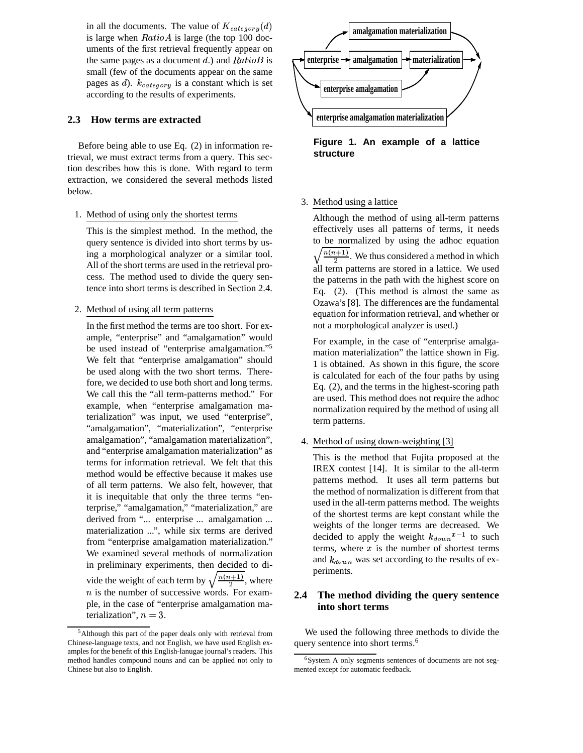in all the documents. The value of  $K_{categor}(d)$ is large when  $RatioA$  is large (the top 100 documents of the first retrieval frequently appear on the same pages as a document  $d$ .) and  $Ratio$ small (few of the documents appear on the same pages as  $d$ ).  $k_{category}$  is a constant which is set according to the results of experiments.

# **2.3 How terms are extracted**

Before being able to use Eq. (2) in information retrieval, we must extract terms from a query. This section describes how this is done. With regard to term extraction, we considered the several methods listed below.

1. Method of using only the shortest terms

This is the simplest method. In the method, the query sentence is divided into short terms by using a morphological analyzer or a similar tool. All of the short terms are used in the retrieval process. The method used to divide the query sentence into short terms is described in Section 2.4.

2. Method of using all term patterns

In the first method the terms are too short. For example, "enterprise" and "amalgamation" would be used instead of "enterprise amalgamation." 5 We felt that "enterprise amalgamation" should be used along with the two short terms. Therefore, we decided to use both short and long terms. We call this the "all term-patterns method." For example, when "enterprise amalgamation materialization" was input, we used "enterprise", "amalgamation", "materialization", "enterprise amalgamation", "amalgamation materialization", and "enterprise amalgamation materialization" as terms for information retrieval. We felt that this method would be effective because it makes use of all term patterns. We also felt, however, that it is inequitable that only the three terms "enterprise," "amalgamation," "materialization," are derived from "... enterprise ... amalgamation ... materialization ...", while six terms are derived from "enterprise amalgamation materialization." We examined several methods of normalization in preliminary experiments, then decided to divide the weight of each term by  $\sqrt{\frac{n(n+1)}{2}}$ , where  $n$  is the number of successive words. For example, in the case of "enterprise amalgamation materialization",  $n=3$ .



**Figure 1. An example of a lattice structure**

#### 3. Method using a lattice

Although the method of using all-term patterns effectively uses all patterns of terms, it needs to be normalized by using the adhoc equation  $\sqrt{\frac{n(n+1)}{2}}$ . We thus considered a method in which all term patterns are stored in a lattice. We used the patterns in the path with the highest score on Eq. (2). (This method is almost the same as Ozawa's [8]. The differences are the fundamental equation for information retrieval, and whether or not a morphological analyzer is used.)

For example, in the case of "enterprise amalgamation materialization" the lattice shown in Fig. 1 is obtained. As shown in this figure, the score is calculated for each of the four paths by using Eq. (2), and the terms in the highest-scoring path are used. This method does not require the adhoc normalization required by the method of using all term patterns.

4. Method of using down-weighting [3]

This is the method that Fujita proposed at the IREX contest [14]. It is similar to the all-term patterns method. It uses all term patterns but the method of normalization is different from that used in the all-term patterns method. The weights of the shortest terms are kept constant while the weights of the longer terms are decreased. We decided to apply the weight  $k_{down}^{x-1}$  to such terms, where  $x$  is the number of shortest terms and  $k_{down}$  was set according to the results of experiments.

# **2.4 The method dividing the query sentence into short terms**

We used the following three methods to divide the query sentence into short terms.<sup>6</sup>

<sup>5</sup>Although this part of the paper deals only with retrieval from Chinese-language texts, and not English, we have used English examples for the benefit of this English-lanugae journal's readers. This method handles compound nouns and can be applied not only to Chinese but also to English.

<sup>6</sup>System A only segments sentences of documents are not segmented except for automatic feedback.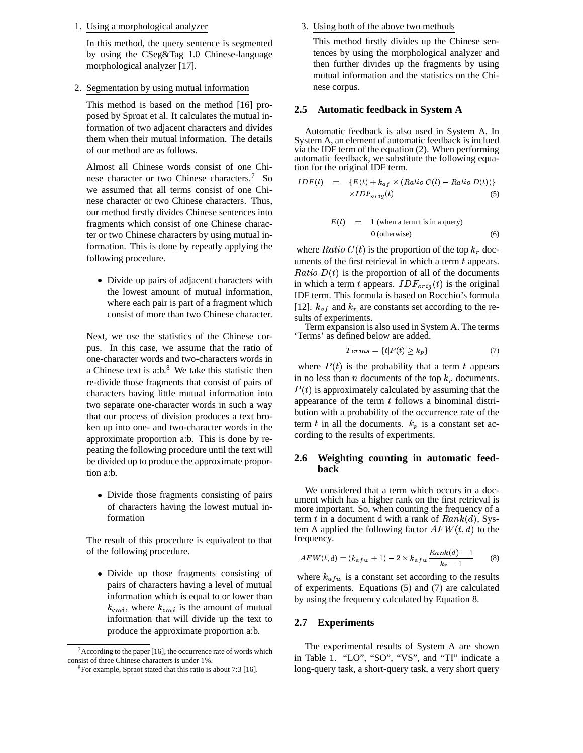1. Using a morphological analyzer

In this method, the query sentence is segmented by using the CSeg&Tag 1.0 Chinese-language morphological analyzer [17].

2. Segmentation by using mutual information

This method is based on the method [16] proposed by Sproat et al. It calculates the mutual information of two adjacent characters and divides them when their mutual information. The details of our method are as follows.

Almost all Chinese words consist of one Chinese character or two Chinese characters.<sup>7</sup> So we assumed that all terms consist of one Chinese character or two Chinese characters. Thus, our method firstly divides Chinese sentences into fragments which consist of one Chinese character or two Chinese characters by using mutual information. This is done by repeatly applying the following procedure.

• Divide up pairs of adjacent characters with the lowest amount of mutual information, where each pair is part of a fragment which consist of more than two Chinese character.

Next, we use the statistics of the Chinese corpus. In this case, we assume that the ratio of one-character words and two-characters words in a Chinese text is a:b. $8$  We take this statistic then re-divide those fragments that consist of pairs of characters having little mutual information into two separate one-character words in such a way that our process of division produces a text broken up into one- and two-character words in the approximate proportion a:b. This is done by repeating the following procedure until the text will be divided up to produce the approximate proportion a:b.

• Divide those fragments consisting of pairs of characters having the lowest mutual information

The result of this procedure is equivalent to that of the following procedure.

• Divide up those fragments consisting of pairs of characters having a level of mutual information which is equal to or lower than  $k_{cmi}$ , where  $k_{cmi}$  is the amount of mutual information that will divide up the text to produce the approximate proportion a:b.

#### 3. Using both of the above two methods

This method firstly divides up the Chinese sentences by using the morphological analyzer and then further divides up the fragments by using mutual information and the statistics on the Chinese corpus.

### **2.5 Automatic feedback in System A**

Automatic feedback is also used in System A. In System A, an element of automatic feedback is inclued via the IDF term of the equation (2). When performing automatic feedback, we substitute the following equation for the original IDF term.

$$
IDF(t) = \{E(t) + k_{af} \times (Ratio C(t) - Ratio D(t))\}
$$
  
 
$$
\times IDF_{orig}(t)
$$
 (5)

$$
E(t) = 1 \text{ (when a term t is in a query)}
$$
  
0 (otherwise) (6)

where  $Ratio C(t)$  is the proportion of the top  $k_r$  documents of the first retrieval in which a term  $t$  appears. *Ratio*  $D(t)$  is the proportion of all of the documents in which a term t appears.  $IDF_{orig}(t)$  is the original IDF term. This formula is based on Rocchio's formula [12].  $k_{af}$  and  $k_r$  are constants set according to the results of experiments.

Term expansion is also used in System A. The terms 'Terms' as defined below are added.

$$
Terms = \{t | P(t) \ge k_p\} \tag{7}
$$

where  $P(t)$  is the probability that a term t appears in no less than n documents of the top  $k_r$  documents.  $P(t)$  is approximately calculated by assuming that the appearance of the term  $t$  follows a binominal distribution with a probability of the occurrence rate of the term t in all the documents.  $k_p$  is a constant set according to the results of experiments.

# **2.6 Weighting counting in automatic feedback**

We considered that a term which occurs in a document which has a higher rank on the first retrieval is more important. So, when counting the frequency of a term t in a document d with a rank of  $Rank(d)$ , System A applied the following factor  $AFW(t, d)$  to the frequency.

$$
AFW(t, d) = (k_{a f w} + 1) - 2 \times k_{a f w} \frac{Rank(d) - 1}{k_r - 1}
$$
 (8)

where  $k_{a f w}$  is a constant set according to the results of experiments. Equations (5) and (7) are calculated by using the frequency calculated by Equation 8.

# **2.7 Experiments**

The experimental results of System A are shown in Table 1. "LO", "SO", "VS", and "TI" indicate a long-query task, a short-query task, a very short query

<sup>&</sup>lt;sup>7</sup> According to the paper [16], the occurrence rate of words which consist of three Chinese characters is under 1%.

<sup>8</sup>For example, Spraot stated that this ratio is about 7:3 [16].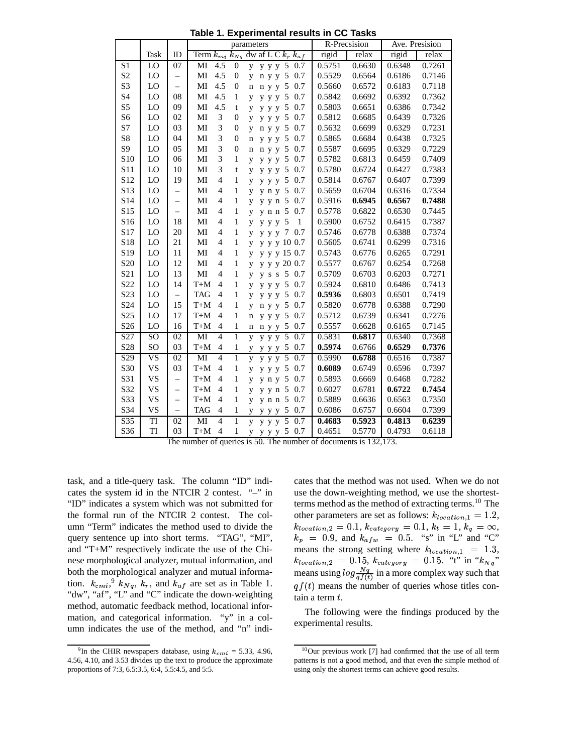**Table 1. Experimental results in CC Tasks**

|                  |           |                          | parameters                   |                  |                                                | R-Precsision |        | Ave. Presision |        |
|------------------|-----------|--------------------------|------------------------------|------------------|------------------------------------------------|--------------|--------|----------------|--------|
|                  | Task      | ID                       |                              |                  | Term $k_{m i} k_{N q}$ dw af L C $k_r k_{a f}$ | rigid        | relax  | rigid          | relax  |
| S1               | LO        | 07                       | 4.5<br>MI                    | $\mathbf{0}$     | y y y 5 0.7<br>V                               | 0.5751       | 0.6630 | 0.6348         | 0.7261 |
| S <sub>2</sub>   | LO        | $\qquad \qquad -$        | MI<br>4.5                    | $\mathbf{0}$     | n y y 5 0.7<br>y                               | 0.5529       | 0.6564 | 0.6186         | 0.7146 |
| S <sub>3</sub>   | LO        | $\overline{\phantom{0}}$ | MI<br>4.5                    | $\mathbf{0}$     | n y y 5 0.7<br>$\mathbf n$                     | 0.5660       | 0.6572 | 0.6183         | 0.7118 |
| S <sub>4</sub>   | LO        | 08                       | MI<br>4.5                    | 1                | y y y 5 0.7<br>y                               | 0.5842       | 0.6692 | 0.6392         | 0.7362 |
| S <sub>5</sub>   | LO        | 09                       | MI<br>4.5                    | t                | y y y 5 0.7<br>y                               | 0.5803       | 0.6651 | 0.6386         | 0.7342 |
| S <sub>6</sub>   | LO        | 02                       | MI<br>3                      | $\mathbf{0}$     | y y y 5 0.7<br>y                               | 0.5812       | 0.6685 | 0.6439         | 0.7326 |
| S7               | LO        | 03                       | 3<br>MI                      | $\mathbf{0}$     | n y y 5 0.7<br>y                               | 0.5632       | 0.6699 | 0.6329         | 0.7231 |
| S8               | LO        | 04                       | 3<br>MI                      | $\mathbf{0}$     | y y y 5 0.7<br>$\mathbf n$                     | 0.5865       | 0.6684 | 0.6438         | 0.7325 |
| S <sub>9</sub>   | LO        | 05                       | 3<br>MI                      | $\boldsymbol{0}$ | n y y 5 0.7<br>$\mathbf n$                     | 0.5587       | 0.6695 | 0.6329         | 0.7229 |
| S10              | LO        | 06                       | 3<br>MI                      | $\mathbf{1}$     | y y y 5 0.7<br>y                               | 0.5782       | 0.6813 | 0.6459         | 0.7409 |
| S11              | LO        | 10                       | 3<br>MI                      | t                | y y y 5<br>0.7<br>y                            | 0.5780       | 0.6724 | 0.6427         | 0.7383 |
| S12              | LO        | 19                       | MI<br>$\overline{4}$         | 1                | y y y 5 0.7<br>y                               | 0.5814       | 0.6767 | 0.6407         | 0.7399 |
| S13              | LO        | $\qquad \qquad -$        | $\overline{4}$<br>MI         | 1                | y n y 5 0.7<br>y                               | 0.5659       | 0.6704 | 0.6316         | 0.7334 |
| S14              | LO        | $\overline{\phantom{0}}$ | $\overline{4}$<br>MI         | 1                | y y n 5 0.7<br>y                               | 0.5916       | 0.6945 | 0.6567         | 0.7488 |
| S15              | LO        | $\qquad \qquad -$        | $\overline{4}$<br>MI         | 1                | y n n 5 0.7<br>y                               | 0.5778       | 0.6822 | 0.6530         | 0.7445 |
| S16              | LO        | 18                       | MI<br>4                      | 1                | $\mathbf{1}$<br>y y y 5<br>y                   | 0.5900       | 0.6752 | 0.6415         | 0.7387 |
| S17              | LO        | 20                       | MI<br>4                      | 1                | y y y 7 0.7<br>y                               | 0.5746       | 0.6778 | 0.6388         | 0.7374 |
| S18              | LO        | 21                       | MI<br>4                      | $\mathbf{1}$     | y y y 10 0.7<br>y                              | 0.5605       | 0.6741 | 0.6299         | 0.7316 |
| S19              | LO        | 11                       | MI<br>4                      | $\mathbf{1}$     | y y y 15 0.7<br>y                              | 0.5743       | 0.6776 | 0.6265         | 0.7291 |
| S <sub>20</sub>  | LO        | 12                       | MI<br>4                      | $\mathbf{1}$     | y y y 20 0.7<br>y                              | 0.5577       | 0.6767 | 0.6254         | 0.7268 |
| S <sub>21</sub>  | LO        | 13                       | MI<br>4                      | $\mathbf{1}$     | y s s 5 0.7<br>y                               | 0.5709       | 0.6703 | 0.6203         | 0.7271 |
| S22              | LO        | 14                       | $T+M$<br>4                   | $\mathbf{1}$     | y y y 5 0.7<br>y                               | 0.5924       | 0.6810 | 0.6486         | 0.7413 |
| S <sub>2</sub> 3 | LO        | $\qquad \qquad -$        | <b>TAG</b><br>4              | $\mathbf{1}$     | y y y 5 0.7<br>y                               | 0.5936       | 0.6803 | 0.6501         | 0.7419 |
| S <sub>24</sub>  | LO        | 15                       | $T+M$<br>4                   | $\mathbf{1}$     | n y y 5 0.7<br>y                               | 0.5820       | 0.6778 | 0.6388         | 0.7290 |
| S <sub>25</sub>  | LO        | 17                       | $T+M$<br>4                   | $\mathbf{1}$     | y y y 5 0.7<br>$\mathbf n$                     | 0.5712       | 0.6739 | 0.6341         | 0.7276 |
| S <sub>26</sub>  | LO        | 16                       | $T+M$<br>4                   | $\mathbf{1}$     | n y y 5 0.7<br>n                               | 0.5557       | 0.6628 | 0.6165         | 0.7145 |
| S27              | SO        | 02                       | MI<br>$\overline{4}$         | $\mathbf{1}$     | y y y 5 0.7<br>$\overline{V}$                  | 0.5831       | 0.6817 | 0.6340         | 0.7368 |
| S28              | SO        | 03                       | $T+M$<br>$\overline{4}$      | $\mathbf{1}$     | y y y 5 0.7<br>y                               | 0.5974       | 0.6766 | 0.6529         | 0.7376 |
| S <sub>29</sub>  | <b>VS</b> | 02                       | $\overline{4}$<br>MI         | $\mathbf{1}$     | $y \ y \ \overline{5}$<br>0.7<br>y             | 0.5990       | 0.6788 | 0.6516         | 0.7387 |
| S30              | <b>VS</b> | 03                       | $T+M$<br>$\overline{4}$      | 1                | y y y 5 0.7<br>y                               | 0.6089       | 0.6749 | 0.6596         | 0.7397 |
| S31              | <b>VS</b> | $\qquad \qquad -$        | $T+M$<br>$\overline{4}$      | 1                | $y$ n $y$ 5<br>0.7<br>y                        | 0.5893       | 0.6669 | 0.6468         | 0.7282 |
| S32              | <b>VS</b> | $\overline{\phantom{0}}$ | $T+M$<br>$\overline{4}$      | 1                | y y n 5 0.7<br>y                               | 0.6027       | 0.6781 | 0.6722         | 0.7454 |
| S33              | <b>VS</b> | $\overline{\phantom{0}}$ | $T+M$<br>$\overline{4}$      | 1                | y n n 5 0.7<br>y                               | 0.5889       | 0.6636 | 0.6563         | 0.7350 |
| S34              | <b>VS</b> | $\equiv$                 | <b>TAG</b><br>$\overline{4}$ | $\mathbf{1}$     | y y y 5 0.7<br>y                               | 0.6086       | 0.6757 | 0.6604         | 0.7399 |
| S35              | TI        | 02                       | $\overline{4}$<br>MI         | $\mathbf{1}$     | y y y 5 0.7<br>$\overline{V}$                  | 0.4683       | 0.5923 | 0.4813         | 0.6239 |
| S36              | TI        | 03                       | $T+M$<br>$\overline{4}$      | $\mathbf{1}$     | y y y 5 0.7<br>y                               | 0.4651       | 0.5770 | 0.4793         | 0.6118 |

The number of queries is 50. The number of documents is 132,173.

task, and a title-query task. The column "ID" indicates the system id in the NTCIR 2 contest. "–" in "ID" indicates a system which was not submitted for the formal run of the NTCIR 2 contest. The column "Term" indicates the method used to divide the query sentence up into short terms. "TAG", "MI", and "T+M" respectively indicate the use of the Chinese morphological analyzer, mutual information, and both the morphological analyzer and mutual information.  $k_{cmi}$ ,  $^{9}$   $k_{Nq}$ ,  $k_r$ , and  $k_{af}$  are set as in Table 1. "dw", "af", "L" and "C" indicate the down-weighting method, automatic feedback method, locational information, and categorical information. "y" in a column indicates the use of the method, and "n" indi-

cates that the method was not used. When we do not use the down-weighting method, we use the shortestterms method as the method of extracting terms.<sup>10</sup> The other parameters are set as follows:  $k_{location,1} = 1.2$ ,  $k_{location,2} = 0.1, k_{category} = 0.1, k_t = 1, k_q = \infty,$  $k_p = 0.9$ , and  $k_{a f w} = 0.5$ . "s" in "L" and "C" means the strong setting where  $k_{location,1}$  = 1.3,  $k_{location,2}$  = 0.15,  $k_{category}$  = 0.15. "t" in " $k_{Nq}$ " means using  $log \frac{Nq}{q f(t)}$  in a more complex way such that  $qf(t)$  means the number of queries whose titles contain a term  $t$ .

The following were the findings produced by the experimental results.

<sup>&</sup>lt;sup>9</sup>In the CHIR newspapers database, using  $k_{cmi} = 5.33, 4.96,$ 4.56, 4.10, and 3.53 divides up the text to produce the approximate proportions of 7:3, 6.5:3.5, 6:4, 5.5:4.5, and 5:5.

<sup>10</sup>Our previous work [7] had confirmed that the use of all term patterns is not a good method, and that even the simple method of using only the shortest terms can achieve good results.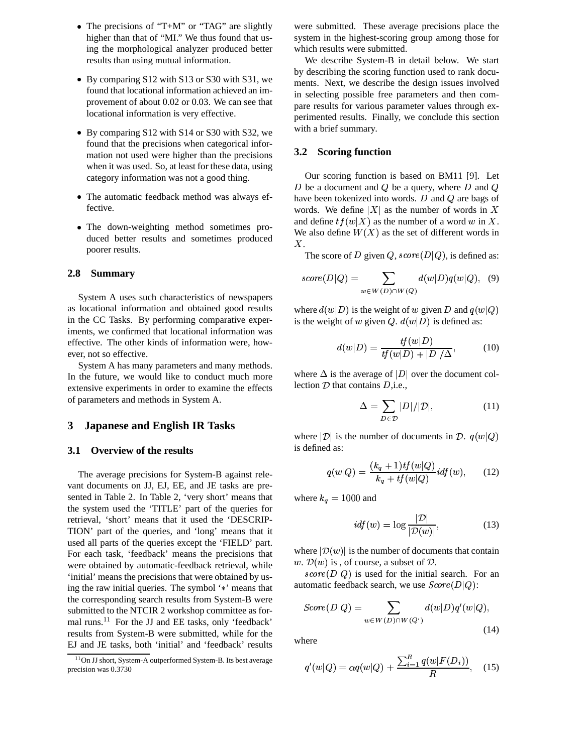- The precisions of "T+M" or "TAG" are slightly higher than that of "MI." We thus found that using the morphological analyzer produced better results than using mutual information.
- By comparing S12 with S13 or S30 with S31, we found that locational information achieved an improvement of about 0.02 or 0.03. We can see that locational information is very effective.
- By comparing S12 with S14 or S30 with S32, we found that the precisions when categorical information not used were higher than the precisions when it was used. So, at least for these data, using category information was not a good thing.
- The automatic feedback method was always effective.
- The down-weighting method sometimes produced better results and sometimes produced poorer results.

### **2.8 Summary**

System A uses such characteristics of newspapers as locational information and obtained good results in the CC Tasks. By performing comparative experiments, we confirmed that locational information was effective. The other kinds of information were, however, not so effective.

System A has many parameters and many methods. In the future, we would like to conduct much more extensive experiments in order to examine the effects of parameters and methods in System A.

# **3 Japanese and English IR Tasks**

### **3.1 Overview of the results**

The average precisions for System-B against relevant documents on JJ, EJ, EE, and JE tasks are presented in Table 2. In Table 2, 'very short' means that the system used the 'TITLE' part of the queries for retrieval, 'short' means that it used the 'DESCRIP-TION' part of the queries, and 'long' means that it used all parts of the queries except the 'FIELD' part. For each task, 'feedback' means the precisions that were obtained by automatic-feedback retrieval, while 'initial' means the precisions that were obtained by using the raw initial queries. The symbol  $\dot{\ast}$  means that the corresponding search results from System-B were submitted to the NTCIR 2 workshop committee as formal runs.<sup>11</sup> For the JJ and EE tasks, only 'feedback' results from System-B were submitted, while for the EJ and JE tasks, both 'initial' and 'feedback' results

were submitted. These average precisions place the system in the highest-scoring group among those for which results were submitted.

We describe System-B in detail below. We start by describing the scoring function used to rank documents. Next, we describe the design issues involved in selecting possible free parameters and then compare results for various parameter values through experimented results. Finally, we conclude this section with a brief summary.

## **3.2 Scoring function**

Our scoring function is based on BM11 [9]. Let D be a document and  $Q$  be a query, where D and  $Q$ have been tokenized into words.  $D$  and  $Q$  are bags of words. We define  $|X|$  as the number of words in X and define  $tf(w|X)$  as the number of a word w in X. We also define  $W(X)$  as the set of different words in <sup>ø</sup>.

The score of D given  $Q$ , score  $(D|Q)$ , is defined as:

$$
score(D|Q) = \sum_{w \in W(D) \cap W(Q)} d(w|D)q(w|Q), \quad (9)
$$

where  $d(w|D)$  is the weight of w given D and  $q(w|Q)$ is the weight of w given Q.  $d(w|D)$  is defined as:

$$
d(w|D) = \frac{tf(w|D)}{tf(w|D) + |D|/\Delta},\qquad(10)
$$

where  $\Delta$  is the average of  $|D|$  over the document collection  $D$  that contains  $D$ , i.e.,

$$
\Delta = \sum_{D \in \mathcal{D}} |D|/|\mathcal{D}|,\tag{11}
$$

where  $|\mathcal{D}|$  is the number of documents in  $\mathcal{D}$ .  $q(w|Q)$ is defined as:

$$
q(w|Q) = \frac{(k_q + 1)tf(w|Q)}{k_q + tf(w|Q)} i df(w), \qquad (12)
$$

where  $k_q = 1000$  and

$$
i df(w) = \log \frac{|\mathcal{D}|}{|\mathcal{D}(w)|},\tag{13}
$$

where  $|\mathcal{D}(w)|$  is the number of documents that contain w.  $\mathcal{D}(w)$  is, of course, a subset of  $\mathcal{D}$ .

 $score(D|Q)$  is used for the initial search. For an automatic feedback search, we use  $Score(D|Q)$ :

$$
Score(D|Q) = \sum_{w \in W(D) \cap W(Q')} d(w|D)q'(w|Q),
$$
\n(14)

where

$$
q'(w|Q) = \alpha q(w|Q) + \frac{\sum_{i=1}^{R} q(w|F(D_i))}{R}, \quad (15)
$$

<sup>11</sup>On JJ short, System-A outperformed System-B. Its best average precision was 0.3730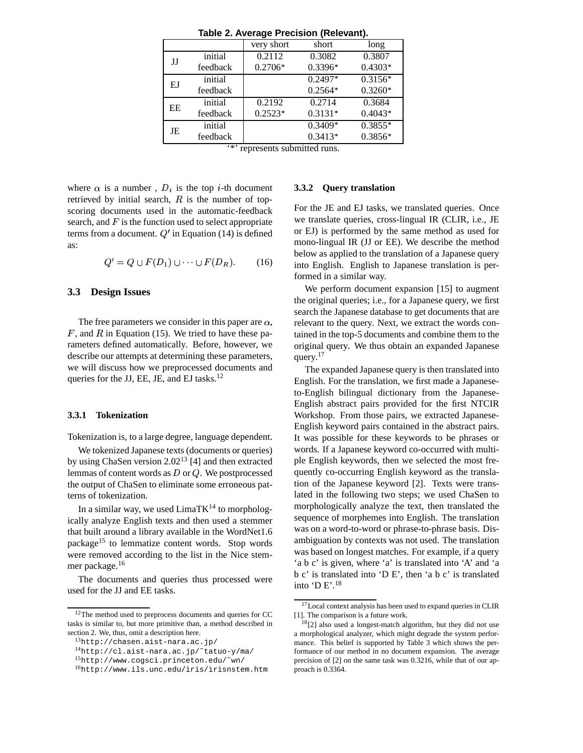| $1$ abic 2. Avciayc $r$ ictision (Reicyant). |          |            |           |           |  |  |
|----------------------------------------------|----------|------------|-----------|-----------|--|--|
|                                              |          | very short | short     | long      |  |  |
| JJ                                           | initial  | 0.2112     | 0.3082    | 0.3807    |  |  |
|                                              | feedback | $0.2706*$  | $0.3396*$ | $0.4303*$ |  |  |
| EJ                                           | initial  |            | $0.2497*$ | $0.3156*$ |  |  |
|                                              | feedback |            | $0.2564*$ | $0.3260*$ |  |  |
| EE                                           | initial  | 0.2192     | 0.2714    | 0.3684    |  |  |
|                                              | feedback | $0.2523*$  | $0.3131*$ | $0.4043*$ |  |  |
| JE                                           | initial  |            | $0.3409*$ | $0.3855*$ |  |  |
|                                              | feedback |            | $0.3413*$ | $0.3856*$ |  |  |
|                                              |          |            |           |           |  |  |

**Table 2. Average Precision (Relevant).**

represents submitted runs.

where  $\alpha$  is a number,  $D_i$  is the top *i*-th document retrieved by initial search,  $R$  is the number of topscoring documents used in the automatic-feedback search, and  $F$  is the function used to select appropriate terms from a document.  $Q'$  in Equation (14) is defined as:

$$
Q' = Q \cup F(D_1) \cup \cdots \cup F(D_R). \qquad (16)
$$

# **3.3 Design Issues**

The free parameters we consider in this paper are  $\alpha$ ,  $F$ , and  $R$  in Equation (15). We tried to have these parameters defined automatically. Before, however, we describe our attempts at determining these parameters, we will discuss how we preprocessed documents and queries for the JJ, EE, JE, and EJ tasks. $^{12}$ 

#### **3.3.1 Tokenization**

Tokenization is, to a large degree, language dependent.

We tokenized Japanese texts (documents or queries) by using ChaSen version  $2.02^{13}$  [4] and then extracted lemmas of content words as  $D$  or  $Q$ . We postprocessed the output of ChaSen to eliminate some erroneous patterns of tokenization.

In a similar way, we used  $LimaTK^{14}$  to morphologically analyze English texts and then used a stemmer that built around a library available in the WordNet1.6 package<sup>15</sup> to lemmatize content words. Stop words were removed according to the list in the Nice stemmer package.<sup>16</sup>

The documents and queries thus processed were used for the JJ and EE tasks.

#### **3.3.2 Query translation**

For the JE and EJ tasks, we translated queries. Once we translate queries, cross-lingual IR (CLIR, i.e., JE or EJ) is performed by the same method as used for mono-lingual IR (JJ or EE). We describe the method below as applied to the translation of a Japanese query into English. English to Japanese translation is performed in a similar way.

We perform document expansion [15] to augment the original queries; i.e., for a Japanese query, we first search the Japanese database to get documents that are relevant to the query. Next, we extract the words contained in the top-5 documents and combine them to the original query. We thus obtain an expanded Japanese query. 17

The expanded Japanese query is then translated into English. For the translation, we first made a Japaneseto-English bilingual dictionary from the Japanese-English abstract pairs provided for the first NTCIR Workshop. From those pairs, we extracted Japanese-English keyword pairs contained in the abstract pairs. It was possible for these keywords to be phrases or words. If a Japanese keyword co-occurred with multiple English keywords, then we selected the most frequently co-occurring English keyword as the translation of the Japanese keyword [2]. Texts were translated in the following two steps; we used ChaSen to morphologically analyze the text, then translated the sequence of morphemes into English. The translation was on a word-to-word or phrase-to-phrase basis. Disambiguation by contexts was not used. The translation was based on longest matches. For example, if a query 'a b c' is given, where 'a' is translated into 'A' and 'a b c' is translated into 'D E', then 'a b c' is translated into 'D E'.<sup>18</sup>

<sup>12</sup>The method used to preprocess documents and queries for CC tasks is similar to, but more primitive than, a method described in section 2. We, thus, omit a description here.

<sup>13</sup>http://chasen.aist-nara.ac.jp/

<sup>14</sup>http://cl.aist-nara.ac.jp/˜tatuo-y/ma/

<sup>15</sup>http://www.cogsci.princeton.edu/˜wn/

<sup>16</sup>http://www.ils.unc.edu/iris/irisnstem.htm

<sup>17</sup>Local context analysis has been used to expand queries in CLIR [1]. The comparison is a future work.

 $18$ [2] also used a longest-match algorithm, but they did not use a morphological analyzer, which might degrade the system performance. This belief is supported by Table 3 which shows the performance of our method in no document expansion. The average precision of [2] on the same task was 0.3216, while that of our approach is 0.3364.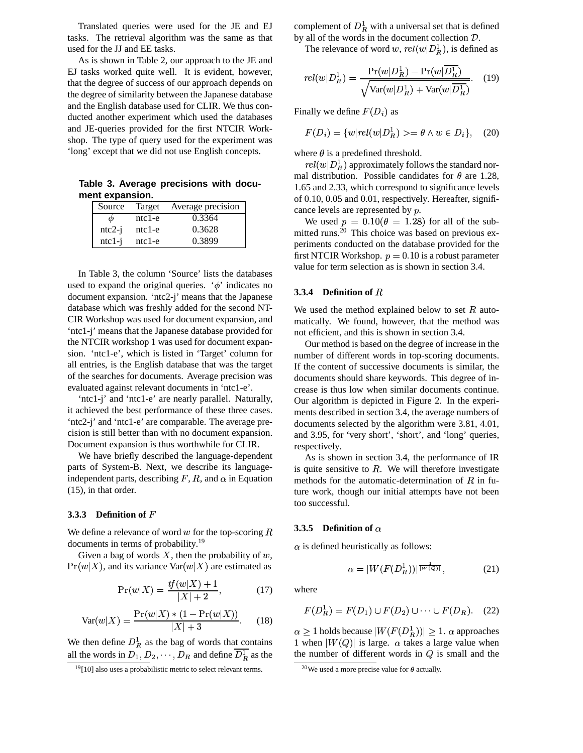Translated queries were used for the JE and EJ tasks. The retrieval algorithm was the same as that used for the JJ and EE tasks.

As is shown in Table 2, our approach to the JE and EJ tasks worked quite well. It is evident, however, that the degree of success of our approach depends on the degree of similarity between the Japanese database and the English database used for CLIR. We thus conducted another experiment which used the databases and JE-queries provided for the first NTCIR Workshop. The type of query used for the experiment was 'long' except that we did not use English concepts.

**Table 3. Average precisions with document expansion.**

| Source   | Target   | Average precision |
|----------|----------|-------------------|
| Ф        | $ntc1-e$ | 0.3364            |
| $ntc2-i$ | $ntc1-e$ | 0.3628            |
| $ntc1-i$ | $ntc1-e$ | 0.3899            |

In Table 3, the column 'Source' lists the databases used to expand the original queries.  $\phi$  indicates no document expansion. 'ntc2-j' means that the Japanese database which was freshly added for the second NT-CIR Workshop was used for document expansion, and 'ntc1-j' means that the Japanese database provided for the NTCIR workshop 1 was used for document expansion. 'ntc1-e', which is listed in 'Target' column for all entries, is the English database that was the target of the searches for documents. Average precision was evaluated against relevant documents in 'ntc1-e'.

'ntc1-j' and 'ntc1-e' are nearly parallel. Naturally, it achieved the best performance of these three cases. 'ntc2-j' and 'ntc1-e' are comparable. The average precision is still better than with no document expansion. Document expansion is thus worthwhile for CLIR.

We have briefly described the language-dependent parts of System-B. Next, we describe its languageindependent parts, describing  $F$ ,  $R$ , and  $\alpha$  in Equation (15), in that order.

# **3.3.3 Definition of** <sup>Y</sup>

We define a relevance of word  $w$  for the top-scoring  $R$ documents in terms of probability.<sup>19</sup>

Given a bag of words  $X$ , then the probability of  $w$ ,  $Pr(w|X)$ , and its variance  $Var(w|X)$  are estimated as

$$
\Pr(w|X) = \frac{tf(w|X) + 1}{|X| + 2},\tag{17}
$$

$$
Var(w|X) = \frac{Pr(w|X) * (1 - Pr(w|X))}{|X| + 3}.
$$
 (18)

We then define  $D_R^1$  as the bag of words that contains all the words in  $D_1, D_2, \cdots, D_R$  and define  $D_R^1$  as the

complement of  $D_R^1$  with a universal set that is defined by all of the words in the document collection  $D$ .

The relevance of word w,  $rel(w|D_R^1)$ , is defined as

$$
rel(w|D_R^1) = \frac{\Pr(w|D_R^1) - \Pr(w|\overline{D_R^1})}{\sqrt{\text{Var}(w|D_R^1) + \text{Var}(w|\overline{D_R^1})}}.
$$
 (19)

Finally we define  $F(D_i)$  as

$$
F(D_i) = \{w|rel(w|D_R^1) \geq \theta \land w \in D_i\}, \quad (20)
$$

where  $\theta$  is a predefined threshold.

 $rel(w|D_R^1)$  approximately follows the standard normal distribution. Possible candidates for  $\theta$  are 1.28, 1.65 and 2.33, which correspond to significance levels of 0.10, 0.05 and 0.01, respectively. Hereafter, significance levels are represented by  $p$ .

We used  $p = 0.10(\theta = 1.28)$  for all of the submitted runs.<sup>20</sup> This choice was based on previous experiments conducted on the database provided for the first NTCIR Workshop.  $p = 0.10$  is a robust parameter value for term selection as is shown in section 3.4.

# **3.3.4 Definition** of  $R$

We used the method explained below to set  $R$  automatically. We found, however, that the method was not efficient, and this is shown in section 3.4.

Our method is based on the degree of increase in the number of different words in top-scoring documents. If the content of successive documents is similar, the documents should share keywords. This degree of increase is thus low when similar documents continue. Our algorithm is depicted in Figure 2. In the experiments described in section 3.4, the average numbers of documents selected by the algorithm were 3.81, 4.01, and 3.95, for 'very short', 'short', and 'long' queries, respectively.

As is shown in section 3.4, the performance of IR is quite sensitive to  $R$ . We will therefore investigate methods for the automatic-determination of  $R$  in future work, though our initial attempts have not been too successful.

# **3.3.5 Definition** of  $\alpha$

 $\alpha$  is defined heuristically as follows:

$$
\alpha = |W(F(D_R^1))|^{\frac{1}{|W(Q)|}},\tag{21}
$$

where

$$
F(D_R^1) = F(D_1) \cup F(D_2) \cup \dots \cup F(D_R). \quad (22)
$$

 $\alpha \geq 1$  holds because  $|W(F(D_R^1))| \geq 1$ .  $\alpha$  approaches 1 when  $|W(Q)|$  is large.  $\alpha$  takes a large value when the number of different words in  $Q$  is small and the

<sup>&</sup>lt;sup>19</sup>[10] also uses a probabilistic metric to select relevant terms.

<sup>&</sup>lt;sup>20</sup>We used a more precise value for  $\theta$  actually.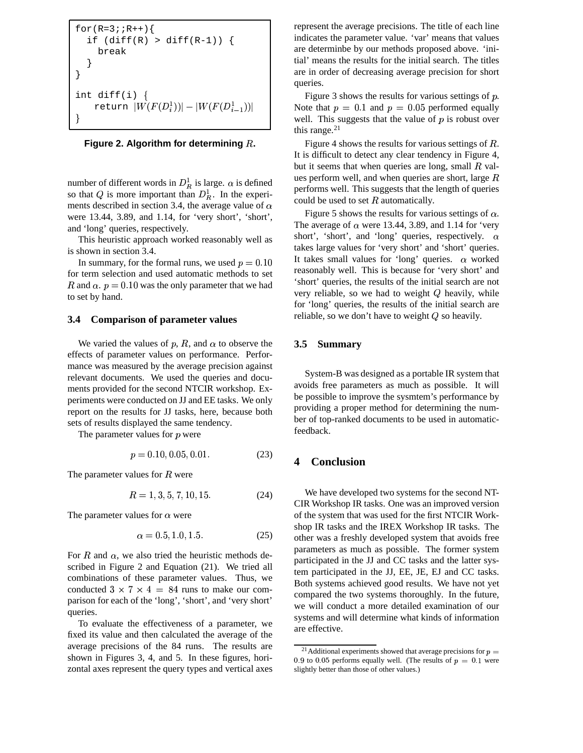```
for(R=3; R++)if (diff(R) > diff(R-1)) {
    break
  }
}
int diff(i) \{return |W(F(D_i^1))|-|W(F(D_{i-1}^1))|?
```
**Figure 2. Algorithm for determining**  $R$ .

number of different words in  $D_R^1$  is large.  $\alpha$  is defined so that Q is more important than  $D_R^1$ . In the experiments described in section 3.4, the average value of  $\alpha$ were 13.44, 3.89, and 1.14, for 'very short', 'short', and 'long' queries, respectively.

This heuristic approach worked reasonably well as is shown in section 3.4.

In summary, for the formal runs, we used  $p = 0.10$ for term selection and used automatic methods to set R and  $\alpha$ .  $p = 0.10$  was the only parameter that we had to set by hand.

# **3.4 Comparison of parameter values**

We varied the values of p, R, and  $\alpha$  to observe the effects of parameter values on performance. Performance was measured by the average precision against relevant documents. We used the queries and documents provided for the second NTCIR workshop. Experiments were conducted on JJ and EE tasks. We only report on the results for JJ tasks, here, because both sets of results displayed the same tendency.

The parameter values for  $p$  were

$$
p = 0.10, 0.05, 0.01.
$$
 (23)

The parameter values for  *were* 

$$
R = 1, 3, 5, 7, 10, 15.
$$
 (24)

The parameter values for  $\alpha$  were

$$
\alpha = 0.5, 1.0, 1.5. \tag{25}
$$

For  $R$  and  $\alpha$ , we also tried the heuristic methods described in Figure 2 and Equation (21). We tried all combinations of these parameter values. Thus, we conducted  $3 \times 7 \times 4 = 84$  runs to make our comparison for each of the 'long', 'short', and 'very short' queries.

To evaluate the effectiveness of a parameter, we fixed its value and then calculated the average of the average precisions of the 84 runs. The results are shown in Figures 3, 4, and 5. In these figures, horizontal axes represent the query types and vertical axes represent the average precisions. The title of each line indicates the parameter value. 'var' means that values are determinbe by our methods proposed above. 'initial' means the results for the initial search. The titles are in order of decreasing average precision for short queries.

Figure 3 shows the results for various settings of  $p$ . Note that  $p = 0.1$  and  $p = 0.05$  performed equally well. This suggests that the value of  $p$  is robust over this range. $21$ 

Figure 4 shows the results for various settings of *.* It is difficult to detect any clear tendency in Figure 4, but it seems that when queries are long, small  $R$  values perform well, and when queries are short, large  $$ performs well. This suggests that the length of queries could be used to set  $R$  automatically.

Figure 5 shows the results for various settings of  $\alpha$ . The average of  $\alpha$  were 13.44, 3.89, and 1.14 for 'very short', 'short', and 'long' queries, respectively.  $\alpha$ takes large values for 'very short' and 'short' queries. It takes small values for 'long' queries.  $\alpha$  worked reasonably well. This is because for 'very short' and 'short' queries, the results of the initial search are not very reliable, so we had to weight  $Q$  heavily, while for 'long' queries, the results of the initial search are reliable, so we don't have to weight  $Q$  so heavily.

# **3.5 Summary**

System-B was designed as a portable IR system that avoids free parameters as much as possible. It will be possible to improve the sysmtem's performance by providing a proper method for determining the number of top-ranked documents to be used in automaticfeedback.

# **4 Conclusion**

We have developed two systems for the second NT-CIR Workshop IR tasks. One was an improved version of the system that was used for the first NTCIR Workshop IR tasks and the IREX Workshop IR tasks. The other was a freshly developed system that avoids free parameters as much as possible. The former system participated in the JJ and CC tasks and the latter system participated in the JJ, EE, JE, EJ and CC tasks. Both systems achieved good results. We have not yet compared the two systems thoroughly. In the future, we will conduct a more detailed examination of our systems and will determine what kinds of information are effective.

<sup>&</sup>lt;sup>21</sup>Additional experiments showed that average precisions for  $p =$ 0.9 to 0.05 performs equally well. (The results of  $p = 0.1$  were slightly better than those of other values.)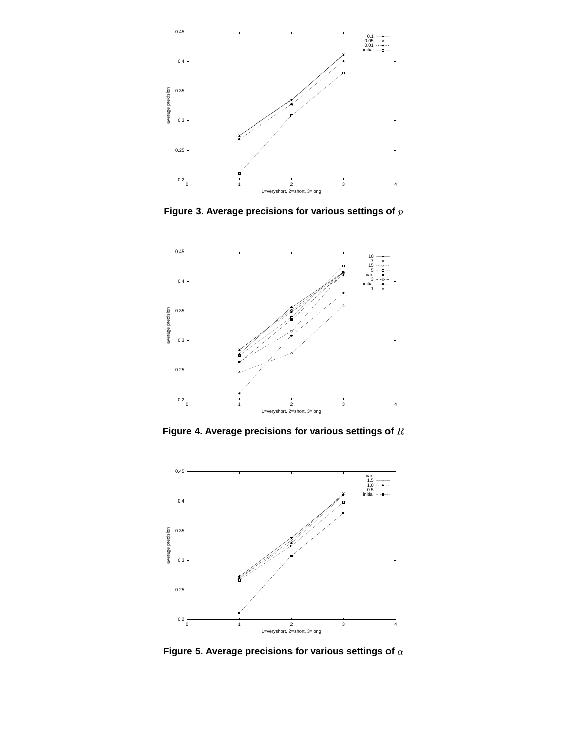

**Figure** 3. Average precisions for various settings of  $p$ 



**Figure 4. Average precisions for various settings of** »



**Figure 5. Average precisions for various settings of**